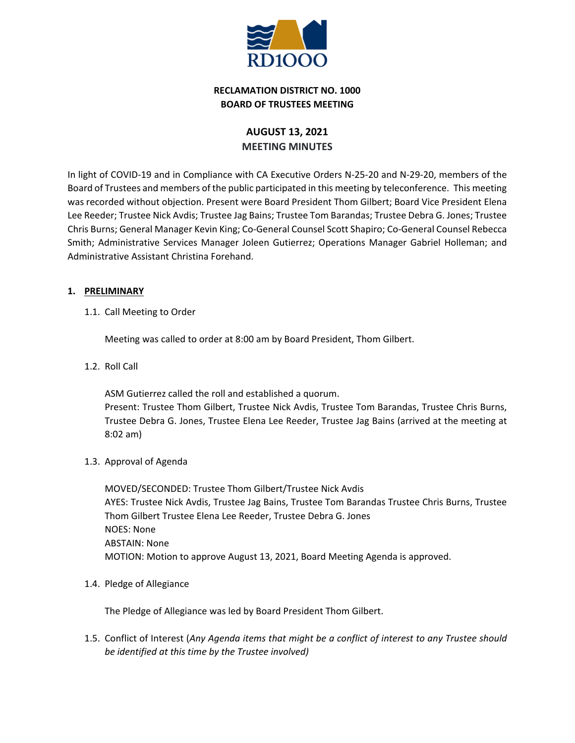

# **RECLAMATION DISTRICT NO. 1000 BOARD OF TRUSTEES MEETING**

# **AUGUST 13, 2021 MEETING MINUTES**

In light of COVID-19 and in Compliance with CA Executive Orders N-25-20 and N-29-20, members of the Board of Trustees and members of the public participated in this meeting by teleconference. This meeting was recorded without objection. Present were Board President Thom Gilbert; Board Vice President Elena Lee Reeder; Trustee Nick Avdis; Trustee Jag Bains; Trustee Tom Barandas; Trustee Debra G. Jones; Trustee Chris Burns; General Manager Kevin King; Co-General Counsel Scott Shapiro; Co-General Counsel Rebecca Smith; Administrative Services Manager Joleen Gutierrez; Operations Manager Gabriel Holleman; and Administrative Assistant Christina Forehand.

# **1. PRELIMINARY**

1.1. Call Meeting to Order

Meeting was called to order at 8:00 am by Board President, Thom Gilbert.

1.2. Roll Call

ASM Gutierrez called the roll and established a quorum.

Present: Trustee Thom Gilbert, Trustee Nick Avdis, Trustee Tom Barandas, Trustee Chris Burns, Trustee Debra G. Jones, Trustee Elena Lee Reeder, Trustee Jag Bains (arrived at the meeting at 8:02 am)

1.3. Approval of Agenda

MOVED/SECONDED: Trustee Thom Gilbert/Trustee Nick Avdis AYES: Trustee Nick Avdis, Trustee Jag Bains, Trustee Tom Barandas Trustee Chris Burns, Trustee Thom Gilbert Trustee Elena Lee Reeder, Trustee Debra G. Jones NOES: None ABSTAIN: None MOTION: Motion to approve August 13, 2021, Board Meeting Agenda is approved.

1.4. Pledge of Allegiance

The Pledge of Allegiance was led by Board President Thom Gilbert.

1.5. Conflict of Interest (*Any Agenda items that might be a conflict of interest to any Trustee should be identified at this time by the Trustee involved)*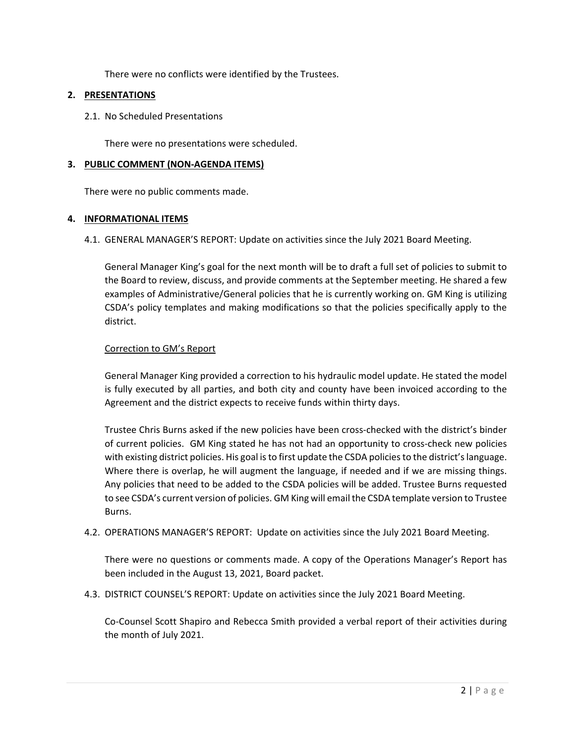There were no conflicts were identified by the Trustees.

### **2. PRESENTATIONS**

2.1. No Scheduled Presentations

There were no presentations were scheduled.

#### **3. PUBLIC COMMENT (NON-AGENDA ITEMS)**

There were no public comments made.

#### **4. INFORMATIONAL ITEMS**

4.1. GENERAL MANAGER'S REPORT: Update on activities since the July 2021 Board Meeting.

General Manager King's goal for the next month will be to draft a full set of policies to submit to the Board to review, discuss, and provide comments at the September meeting. He shared a few examples of Administrative/General policies that he is currently working on. GM King is utilizing CSDA's policy templates and making modifications so that the policies specifically apply to the district.

#### Correction to GM's Report

General Manager King provided a correction to his hydraulic model update. He stated the model is fully executed by all parties, and both city and county have been invoiced according to the Agreement and the district expects to receive funds within thirty days.

Trustee Chris Burns asked if the new policies have been cross-checked with the district's binder of current policies. GM King stated he has not had an opportunity to cross-check new policies with existing district policies. His goal is to first update the CSDA policies to the district's language. Where there is overlap, he will augment the language, if needed and if we are missing things. Any policies that need to be added to the CSDA policies will be added. Trustee Burns requested to see CSDA's current version of policies. GM King will email the CSDA template version to Trustee Burns.

4.2. OPERATIONS MANAGER'S REPORT: Update on activities since the July 2021 Board Meeting.

There were no questions or comments made. A copy of the Operations Manager's Report has been included in the August 13, 2021, Board packet.

4.3. DISTRICT COUNSEL'S REPORT: Update on activities since the July 2021 Board Meeting.

Co-Counsel Scott Shapiro and Rebecca Smith provided a verbal report of their activities during the month of July 2021.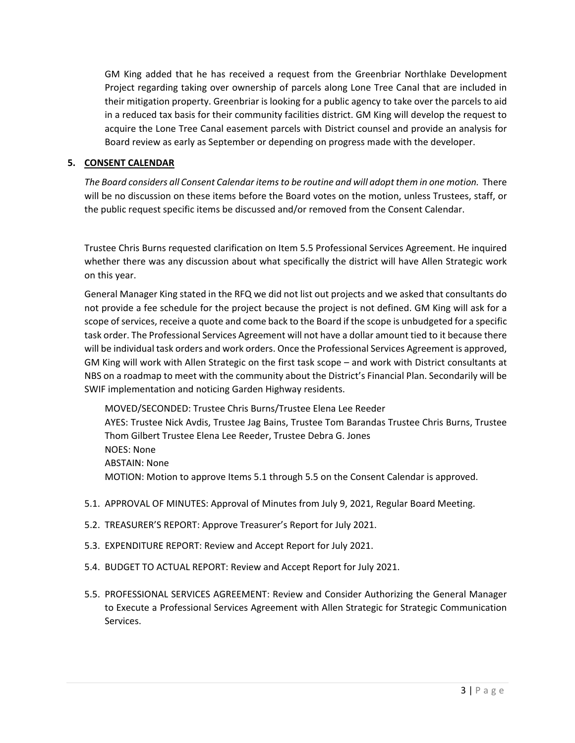GM King added that he has received a request from the Greenbriar Northlake Development Project regarding taking over ownership of parcels along Lone Tree Canal that are included in their mitigation property. Greenbriar is looking for a public agency to take over the parcels to aid in a reduced tax basis for their community facilities district. GM King will develop the request to acquire the Lone Tree Canal easement parcels with District counsel and provide an analysis for Board review as early as September or depending on progress made with the developer.

# **5. CONSENT CALENDAR**

*The Board considers all Consent Calendar items to be routine and will adopt them in one motion.* There will be no discussion on these items before the Board votes on the motion, unless Trustees, staff, or the public request specific items be discussed and/or removed from the Consent Calendar.

Trustee Chris Burns requested clarification on Item 5.5 Professional Services Agreement. He inquired whether there was any discussion about what specifically the district will have Allen Strategic work on this year.

General Manager King stated in the RFQ we did not list out projects and we asked that consultants do not provide a fee schedule for the project because the project is not defined. GM King will ask for a scope of services, receive a quote and come back to the Board if the scope is unbudgeted for a specific task order. The Professional Services Agreement will not have a dollar amount tied to it because there will be individual task orders and work orders. Once the Professional Services Agreement is approved, GM King will work with Allen Strategic on the first task scope – and work with District consultants at NBS on a roadmap to meet with the community about the District's Financial Plan. Secondarily will be SWIF implementation and noticing Garden Highway residents.

MOVED/SECONDED: Trustee Chris Burns/Trustee Elena Lee Reeder AYES: Trustee Nick Avdis, Trustee Jag Bains, Trustee Tom Barandas Trustee Chris Burns, Trustee Thom Gilbert Trustee Elena Lee Reeder, Trustee Debra G. Jones NOES: None ABSTAIN: None MOTION: Motion to approve Items 5.1 through 5.5 on the Consent Calendar is approved.

- 5.1. APPROVAL OF MINUTES: Approval of Minutes from July 9, 2021, Regular Board Meeting.
- 5.2. TREASURER'S REPORT: Approve Treasurer's Report for July 2021.
- 5.3. EXPENDITURE REPORT: Review and Accept Report for July 2021.
- 5.4. BUDGET TO ACTUAL REPORT: Review and Accept Report for July 2021.
- 5.5. PROFESSIONAL SERVICES AGREEMENT: Review and Consider Authorizing the General Manager to Execute a Professional Services Agreement with Allen Strategic for Strategic Communication Services.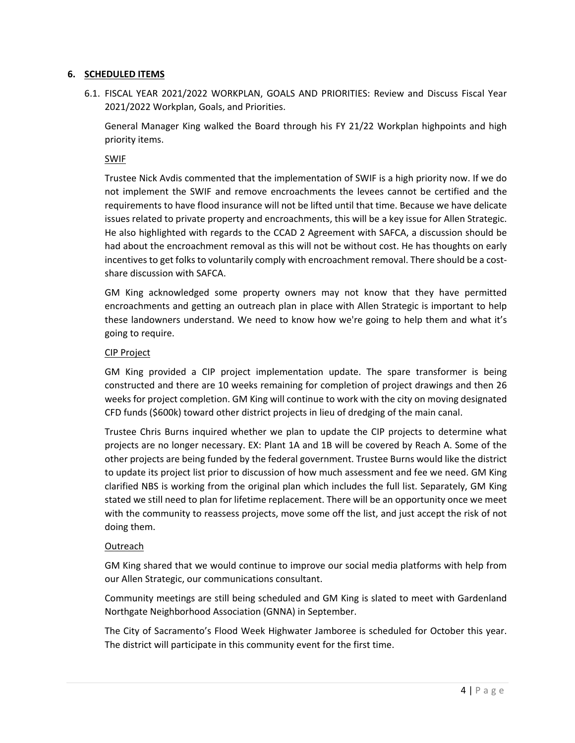### **6. SCHEDULED ITEMS**

6.1. FISCAL YEAR 2021/2022 WORKPLAN, GOALS AND PRIORITIES: Review and Discuss Fiscal Year 2021/2022 Workplan, Goals, and Priorities.

General Manager King walked the Board through his FY 21/22 Workplan highpoints and high priority items.

# SWIF

Trustee Nick Avdis commented that the implementation of SWIF is a high priority now. If we do not implement the SWIF and remove encroachments the levees cannot be certified and the requirements to have flood insurance will not be lifted until that time. Because we have delicate issues related to private property and encroachments, this will be a key issue for Allen Strategic. He also highlighted with regards to the CCAD 2 Agreement with SAFCA, a discussion should be had about the encroachment removal as this will not be without cost. He has thoughts on early incentives to get folks to voluntarily comply with encroachment removal. There should be a costshare discussion with SAFCA.

GM King acknowledged some property owners may not know that they have permitted encroachments and getting an outreach plan in place with Allen Strategic is important to help these landowners understand. We need to know how we're going to help them and what it's going to require.

# CIP Project

GM King provided a CIP project implementation update. The spare transformer is being constructed and there are 10 weeks remaining for completion of project drawings and then 26 weeks for project completion. GM King will continue to work with the city on moving designated CFD funds (\$600k) toward other district projects in lieu of dredging of the main canal.

Trustee Chris Burns inquired whether we plan to update the CIP projects to determine what projects are no longer necessary. EX: Plant 1A and 1B will be covered by Reach A. Some of the other projects are being funded by the federal government. Trustee Burns would like the district to update its project list prior to discussion of how much assessment and fee we need. GM King clarified NBS is working from the original plan which includes the full list. Separately, GM King stated we still need to plan for lifetime replacement. There will be an opportunity once we meet with the community to reassess projects, move some off the list, and just accept the risk of not doing them.

### Outreach

GM King shared that we would continue to improve our social media platforms with help from our Allen Strategic, our communications consultant.

Community meetings are still being scheduled and GM King is slated to meet with Gardenland Northgate Neighborhood Association (GNNA) in September.

The City of Sacramento's Flood Week Highwater Jamboree is scheduled for October this year. The district will participate in this community event for the first time.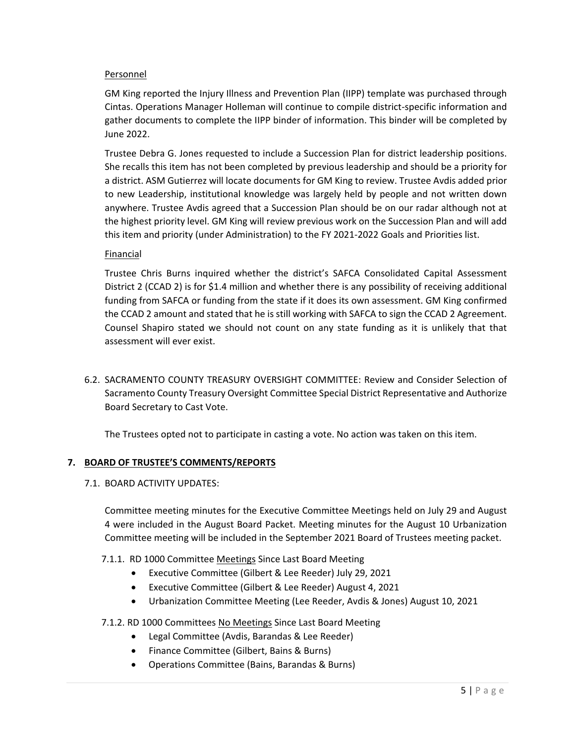### Personnel

GM King reported the Injury Illness and Prevention Plan (IIPP) template was purchased through Cintas. Operations Manager Holleman will continue to compile district-specific information and gather documents to complete the IIPP binder of information. This binder will be completed by June 2022.

Trustee Debra G. Jones requested to include a Succession Plan for district leadership positions. She recalls this item has not been completed by previous leadership and should be a priority for a district. ASM Gutierrez will locate documents for GM King to review. Trustee Avdis added prior to new Leadership, institutional knowledge was largely held by people and not written down anywhere. Trustee Avdis agreed that a Succession Plan should be on our radar although not at the highest priority level. GM King will review previous work on the Succession Plan and will add this item and priority (under Administration) to the FY 2021-2022 Goals and Priorities list.

#### Financial

Trustee Chris Burns inquired whether the district's SAFCA Consolidated Capital Assessment District 2 (CCAD 2) is for \$1.4 million and whether there is any possibility of receiving additional funding from SAFCA or funding from the state if it does its own assessment. GM King confirmed the CCAD 2 amount and stated that he is still working with SAFCA to sign the CCAD 2 Agreement. Counsel Shapiro stated we should not count on any state funding as it is unlikely that that assessment will ever exist.

6.2. SACRAMENTO COUNTY TREASURY OVERSIGHT COMMITTEE: Review and Consider Selection of Sacramento County Treasury Oversight Committee Special District Representative and Authorize Board Secretary to Cast Vote.

The Trustees opted not to participate in casting a vote. No action was taken on this item.

### **7. BOARD OF TRUSTEE'S COMMENTS/REPORTS**

7.1. BOARD ACTIVITY UPDATES:

Committee meeting minutes for the Executive Committee Meetings held on July 29 and August 4 were included in the August Board Packet. Meeting minutes for the August 10 Urbanization Committee meeting will be included in the September 2021 Board of Trustees meeting packet.

#### 7.1.1. RD 1000 Committee Meetings Since Last Board Meeting

- Executive Committee (Gilbert & Lee Reeder) July 29, 2021
- Executive Committee (Gilbert & Lee Reeder) August 4, 2021
- Urbanization Committee Meeting (Lee Reeder, Avdis & Jones) August 10, 2021

### 7.1.2. RD 1000 Committees No Meetings Since Last Board Meeting

- Legal Committee (Avdis, Barandas & Lee Reeder)
- Finance Committee (Gilbert, Bains & Burns)
- Operations Committee (Bains, Barandas & Burns)